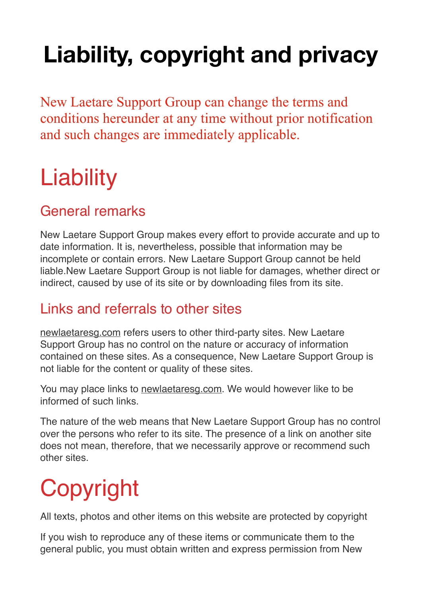# **Liability, copyright and privacy**

New Laetare Support Group can change the terms and conditions hereunder at any time without prior notification and such changes are immediately applicable.

### **Liability**

#### General remarks

New Laetare Support Group makes every effort to provide accurate and up to date information. It is, nevertheless, possible that information may be incomplete or contain errors. New Laetare Support Group cannot be held liable.New Laetare Support Group is not liable for damages, whether direct or indirect, caused by use of its site or by downloading files from its site.

#### Links and referrals to other sites

[newlaetaresg.com](https:newlaetaresg.com) refers users to other third-party sites. New Laetare Support Group has no control on the nature or accuracy of information contained on these sites. As a consequence, New Laetare Support Group is not liable for the content or quality of these sites.

You may place links to [newlaetaresg.com.](https:newlaetaresg.com) We would however like to be informed of such links.

The nature of the web means that New Laetare Support Group has no control over the persons who refer to its site. The presence of a link on another site does not mean, therefore, that we necessarily approve or recommend such other sites.

## **Copyright**

All texts, photos and other items on this website are protected by copyright

If you wish to reproduce any of these items or communicate them to the general public, you must obtain written and express permission from New